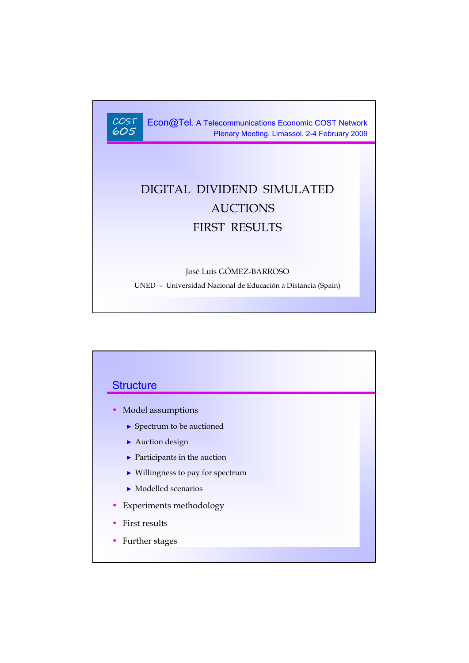

Econ@Tel. A Telecommunications Economic COST Network Plenary Meeting. Limassol. 2-4 February 2009

# DIGITAL DIVIDEND SIMULATED AUCTIONS FIRST RESULTS

#### José Luis GÓMEZ-BARROSO

UNED – Universidad Nacional de Educación a Distancia (Spain)

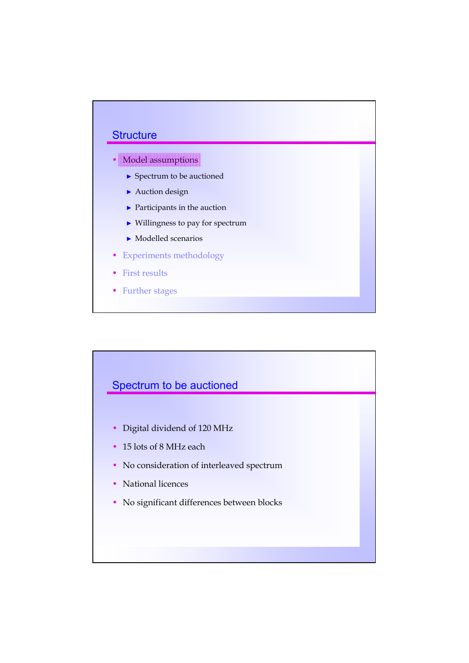

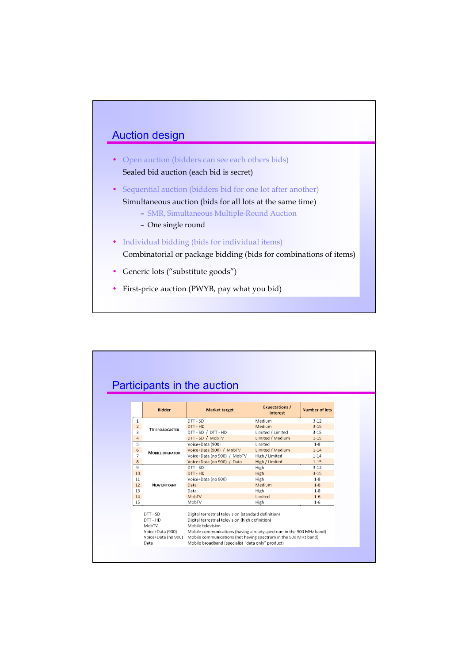

- Open auction (bidders can see each others bids) Sealed bid auction (each bid is secret)
- Sequential auction (bidders bid for one lot after another) Simultaneous auction (bids for all lots at the same time)
	- SMR, Simultaneous Multiple-Round Auction
	- One single round
- Individual bidding (bids for individual items) Combinatorial or package bidding (bids for combinations of items)
- Generic lots ("substitute goods")
- First-price auction (PWYB, pay what you bid)

|                |                                                   | Participants in the auction                                                                                                                                                                          |                                   |                       |  |  |  |  |  |
|----------------|---------------------------------------------------|------------------------------------------------------------------------------------------------------------------------------------------------------------------------------------------------------|-----------------------------------|-----------------------|--|--|--|--|--|
|                | <b>Bidder</b>                                     | <b>Market target</b>                                                                                                                                                                                 | <b>Expectations /</b><br>Interest | <b>Number of lots</b> |  |  |  |  |  |
| 1              |                                                   | DTT - SD                                                                                                                                                                                             | Medium<br>$3 - 12$                |                       |  |  |  |  |  |
| $\overline{2}$ | <b>TV BROADCASTER</b>                             | DTT - HD                                                                                                                                                                                             | Medium                            | $3 - 15$              |  |  |  |  |  |
| 3              |                                                   | DTT - SD / DTT - HD<br>Limited / Limited<br>$3 - 15$                                                                                                                                                 |                                   |                       |  |  |  |  |  |
| $\overline{4}$ |                                                   | DTT - SD / MobTV                                                                                                                                                                                     | Limited / Medium                  | $1 - 15$              |  |  |  |  |  |
| 5              |                                                   | Voice+Data (900)                                                                                                                                                                                     | Limited                           | $1 - 8$               |  |  |  |  |  |
| 6              | <b>MOBILE OPERATOR</b>                            | Voice+Data (900) / MobTV<br>Limited / Medium<br>$1 - 14$                                                                                                                                             |                                   |                       |  |  |  |  |  |
| $\overline{7}$ |                                                   | Voice+Data (no 900) / MobTV<br>$1 - 14$<br>High / Limited                                                                                                                                            |                                   |                       |  |  |  |  |  |
| 8              |                                                   | Voice+Data (no 900) / Data                                                                                                                                                                           | High / Limited                    | $1 - 15$              |  |  |  |  |  |
| 9              |                                                   | DTT - SD                                                                                                                                                                                             | High                              | $3 - 12$              |  |  |  |  |  |
| 10             |                                                   | DTT - HD                                                                                                                                                                                             | High                              | $3 - 15$              |  |  |  |  |  |
| 11             |                                                   | Voice+Data (no 900)                                                                                                                                                                                  | High                              | $1 - 8$               |  |  |  |  |  |
| 12             | <b>NEW ENTRANT</b>                                | Data                                                                                                                                                                                                 | Medium                            | $1 - 8$               |  |  |  |  |  |
| 13             |                                                   | Data                                                                                                                                                                                                 | High                              | $1 - 8$               |  |  |  |  |  |
| 14             |                                                   | MobTV                                                                                                                                                                                                | Limited                           | $1 - 6$               |  |  |  |  |  |
| 15             |                                                   | MobTV                                                                                                                                                                                                | High                              | $1 - 6$               |  |  |  |  |  |
|                | DTT - SD<br>DTT - HD<br>MobTV<br>Voice+Data (900) | Digital terrestrial television (standard definition)<br>Digital terrestrial television (high definition)<br>Mobile television<br>Mobile communications (having already spectrum in the 900 MHz band) |                                   |                       |  |  |  |  |  |
|                | Voice+Data (no 900)<br>Data                       | Mobile communications (not having spectrum in the 900 MHz band)<br>Mobile broadband (specialist "data only" product)                                                                                 |                                   |                       |  |  |  |  |  |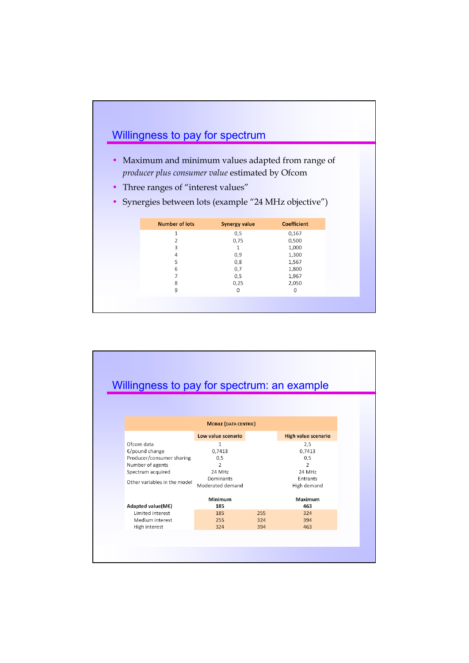

|                              |                              |     | Willingness to pay for spectrum: an example |
|------------------------------|------------------------------|-----|---------------------------------------------|
|                              |                              |     |                                             |
|                              |                              |     |                                             |
|                              |                              |     |                                             |
|                              | <b>MOBILE (DATA CENTRIC)</b> |     |                                             |
|                              | Low value scenario           |     | High value scenario                         |
| Ofcom data                   | 1                            |     | 2,5                                         |
| €/pound change               | 0.7413                       |     | 0,7413                                      |
| Producer/consumer sharing    | 0,5                          |     | 0,5                                         |
| Number of agents             | $\overline{2}$               |     | $\mathcal{P}$                               |
| Spectrum acquired            | <b>24 MHz</b>                |     | 24 MHz                                      |
| Other variables in the model | Dominants                    |     | Entrants                                    |
|                              | Moderated demand             |     | High demand                                 |
|                              | Minimum                      |     | Maximum                                     |
| Adapted value(M€)            | 185                          |     | 463                                         |
| Limited interest             | 185                          | 255 | 324                                         |
| Medium interest              | 255                          | 324 | 394                                         |
| High interest                | 324                          | 394 | 463                                         |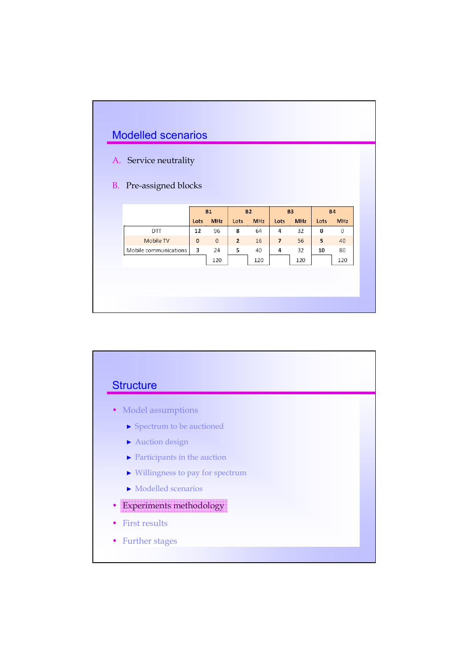

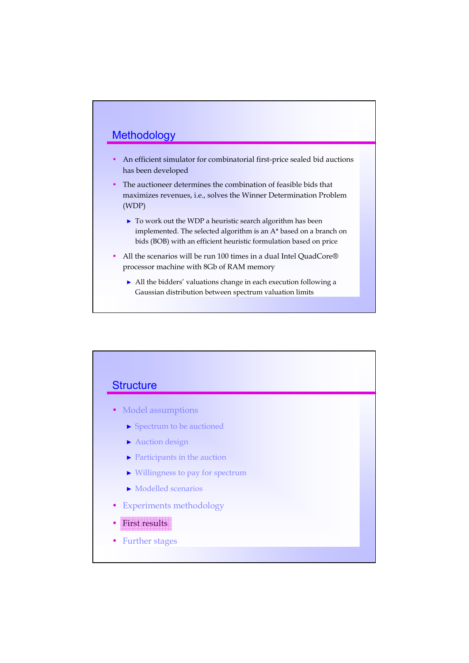### **Methodology**

- An efficient simulator for combinatorial first-price sealed bid auctions has been developed
- The auctioneer determines the combination of feasible bids that maximizes revenues, i.e., solves the Winner Determination Problem (WDP)
	- ► To work out the WDP a heuristic search algorithm has been implemented. The selected algorithm is an A\* based on a branch on bids (BOB) with an efficient heuristic formulation based on price
- All the scenarios will be run 100 times in a dual Intel QuadCore® processor machine with 8Gb of RAM memory
	- ► All the bidders' valuations change in each execution following a Gaussian distribution between spectrum valuation limits

### **Structure**

- Model assumptions
	- ► Spectrum to be auctioned
	- ► Auction design
	- ► Participants in the auction
	- ► Willingness to pay for spectrum
	- ► Modelled scenarios
- Experiments methodology
- First results
- Further stages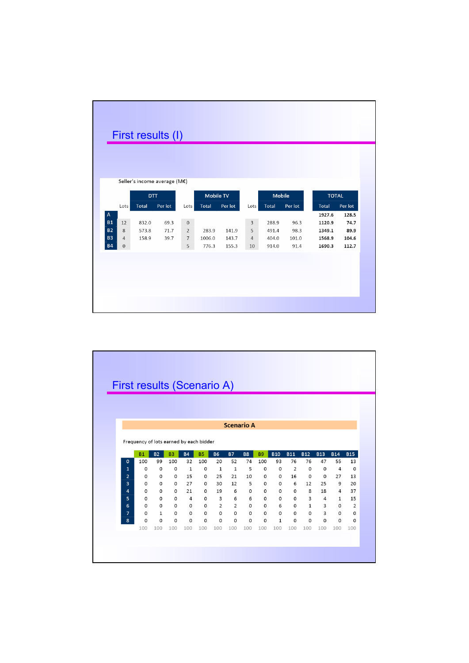|                           |                  |              | First results (I)            |                 |              |         |                |               |         |              |         |
|---------------------------|------------------|--------------|------------------------------|-----------------|--------------|---------|----------------|---------------|---------|--------------|---------|
|                           |                  |              |                              |                 |              |         |                |               |         |              |         |
|                           |                  |              |                              |                 |              |         |                |               |         |              |         |
|                           |                  |              | Seller's income average (M€) |                 |              |         |                |               |         |              |         |
|                           |                  | DTT          |                              |                 | Mobile TV    |         |                | <b>Mobile</b> |         | <b>TOTAL</b> |         |
|                           | Lots             | <b>Total</b> | Per lot                      | Lots            | <b>Total</b> | Per lot | Lots           | Total         | Per lot | <b>Total</b> | Per lot |
| $\boldsymbol{\mathsf{A}}$ |                  |              |                              |                 |              |         |                |               |         | 1927.6       | 128.5   |
| <b>B1</b>                 | 12               | 832.0        | 69.3                         | $\mathbf{0}$    |              |         | $\overline{3}$ | 288.9         | 96.3    | 1120.9       | 74.7    |
| <b>B2</b>                 | 8                | 573.8        | 71.7                         | $\overline{2}$  | 283.9        | 141.9   | 5              | 491.4         | 98.3    | 1349.1       | 89.9    |
| <b>B3</b>                 | $\overline{4}$   | 158.9        | 39.7                         | $7\overline{ }$ | 1006.0       | 143.7   | 4              | 404.0         | 101.0   | 1568.9       | 104.6   |
| <b>B4</b>                 | $\boldsymbol{0}$ |              |                              | 5               | 776.3        | 155.3   | 10             | 914.0         | 91.4    | 1690.3       | 112.7   |
|                           |                  |              |                              |                 |              |         |                |               |         |              |         |
|                           |                  |              |                              |                 |              |         |                |               |         |              |         |
|                           |                  |              |                              |                 |              |         |                |               |         |              |         |
|                           |                  |              |                              |                 |              |         |                |               |         |              |         |
|                           |                  |              |                              |                 |              |         |                |               |         |              |         |

| First results (Scenario A) |                                         |               |                |                     |                     |                |                     |                     |           |                        |                |                     |            |            |                |
|----------------------------|-----------------------------------------|---------------|----------------|---------------------|---------------------|----------------|---------------------|---------------------|-----------|------------------------|----------------|---------------------|------------|------------|----------------|
|                            |                                         |               |                |                     |                     |                |                     |                     |           |                        |                |                     |            |            |                |
|                            |                                         |               |                |                     |                     |                |                     |                     |           |                        |                |                     |            |            |                |
|                            |                                         |               |                |                     |                     |                |                     |                     |           |                        |                |                     |            |            |                |
|                            |                                         |               |                |                     |                     |                |                     |                     |           |                        |                |                     |            |            |                |
|                            |                                         |               |                |                     |                     |                |                     |                     |           |                        |                |                     |            |            |                |
|                            |                                         |               |                |                     |                     |                | <b>Scenario A</b>   |                     |           |                        |                |                     |            |            |                |
|                            | Frequency of lots earned by each bidder |               |                |                     |                     |                |                     |                     |           |                        |                |                     |            |            |                |
|                            |                                         |               |                |                     |                     |                |                     |                     |           |                        |                |                     |            |            |                |
|                            | <b>B1</b>                               | <b>B2</b>     | B <sub>3</sub> | <b>B4</b>           | <b>B5</b>           | <b>B6</b>      | <b>B7</b>           | <b>B8</b>           | <b>B9</b> | <b>B10</b>             | <b>B11</b>     | <b>B12</b>          | <b>B13</b> | <b>B14</b> | <b>B15</b>     |
| $\mathbf{o}$               | 100                                     | 99            | 100            | 32                  | 100                 | 20             | 52                  | 74                  | 100       | 93                     | 76             | 76                  | 47         | 55         | 13             |
| $\mathbf{1}$               | 0                                       | 0             | 0              | $\mathbf{1}$        | 0                   | 1              | $\mathbf 1$         | 5                   | 0         | $\circ$                | $\overline{2}$ | $\circ$             | 0          | 4          | $\circ$        |
| $\overline{2}$             | 0                                       | $\circ$       | 0              | 15                  | 0                   | 25             | 21                  | 10                  | 0         | 0                      | 16             | $\Omega$            | 0          | 27         | 13             |
| $\overline{3}$             | 0                                       | $\Omega$      | 0              | 27                  | 0                   | 30             | 12                  | 5                   | 0         | $\Omega$               | 6              | 12                  | 25         | 9          | 20             |
| 4                          | 0                                       | 0             | 0              | 21                  | 0                   | 19             | 6                   | 0                   | 0         | 0                      | 0              | 8                   | 18         | 4          | 37             |
| 5                          | $\mathbf 0$                             | 0             | $\circ$        | $\overline{4}$      | $\circ$             | $\overline{3}$ | 6                   | 6                   | $\circ$   | $\circ$                | $\circ$        | 3                   | 4          | 1          | 15             |
| 6                          | 0                                       | $\circ$       | 0              | $\circ$             | 0                   | $\overline{2}$ | $\overline{2}$      | $\circ$             | 0         | 6                      | 0              | $\mathbf{1}$        | 3          | 0          | $\overline{2}$ |
| $\overline{7}$             | 0<br>0                                  | 1<br>$\Omega$ | 0<br>0         | $\circ$<br>$\Omega$ | $\circ$<br>$\Omega$ | $\circ$<br>0   | $\circ$<br>$\Omega$ | $\circ$<br>$\Omega$ | 0<br>0    | $\circ$<br>$\mathbf 1$ | 0<br>0         | $\circ$<br>$\Omega$ | 3<br>0     | 0<br>0     | 0<br>$\Omega$  |
|                            |                                         |               | 100            | 100                 | 100                 | 100            | 100                 | 100                 | 100       | 100                    | 100            | 100                 | 100        | 100        | 100            |
| 8                          |                                         |               |                |                     |                     |                |                     |                     |           |                        |                |                     |            |            |                |
|                            | 100                                     | 100           |                |                     |                     |                |                     |                     |           |                        |                |                     |            |            |                |
|                            |                                         |               |                |                     |                     |                |                     |                     |           |                        |                |                     |            |            |                |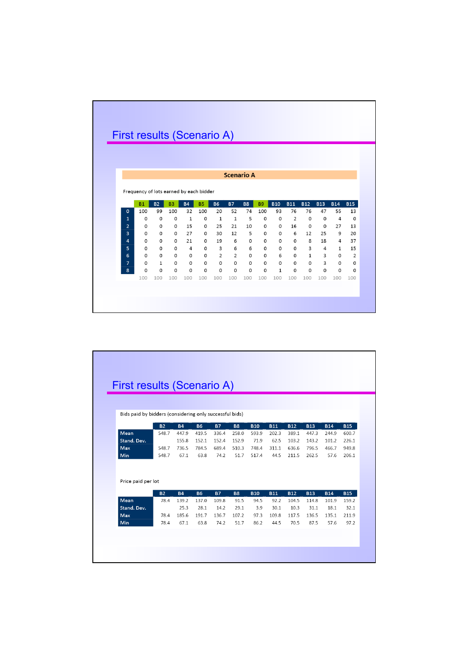|                | First results (Scenario A)              |              |                |              |           |                |                |                   |           |              |            |              |            |              |            |
|----------------|-----------------------------------------|--------------|----------------|--------------|-----------|----------------|----------------|-------------------|-----------|--------------|------------|--------------|------------|--------------|------------|
|                |                                         |              |                |              |           |                |                |                   |           |              |            |              |            |              |            |
|                |                                         |              |                |              |           |                |                |                   |           |              |            |              |            |              |            |
|                |                                         |              |                |              |           |                |                | <b>Scenario A</b> |           |              |            |              |            |              |            |
|                |                                         |              |                |              |           |                |                |                   |           |              |            |              |            |              |            |
|                | Frequency of lots earned by each bidder |              |                |              |           |                |                |                   |           |              |            |              |            |              |            |
|                | <b>B1</b>                               | <b>B2</b>    | B <sub>3</sub> | <b>B4</b>    | <b>B5</b> | <b>B6</b>      | <b>B7</b>      | <b>B8</b>         | <b>B9</b> | <b>B10</b>   | <b>B11</b> | <b>B12</b>   | <b>B13</b> | <b>B14</b>   | <b>B15</b> |
| $\mathbf{0}$   | 100                                     | 99           | 100            | 32           | 100       | 20             | 52             | 74                | 100       | 93           | 76         | 76           | 47         | 55           | 13         |
| $\mathbf{1}$   | 0                                       | $\circ$      | $\circ$        | $\mathbf{1}$ | $\circ$   | $\mathbf{1}$   | $\mathbf{1}$   | 5                 | $\Omega$  | $\circ$      | 2          | 0            | 0          | 4            | $\circ$    |
| $\overline{2}$ | 0                                       | $\circ$      | $\circ$        | 15           | $\circ$   | 25             | 21             | 10                | $\circ$   | $\circ$      | 16         | 0            | $\circ$    | 27           | 13         |
| $\overline{3}$ | 0                                       | $\Omega$     | 0              | 27           | 0         | 30             | 12             | 5                 | $\Omega$  | $\Omega$     | 6          | 12           | 25         | 9            | 20         |
| 4              | 0                                       | $\Omega$     | $\Omega$       | 21           | $\Omega$  | 19             | 6              | $\Omega$          | $\Omega$  | $\circ$      | $\Omega$   | 8            | 18         | 4            | 37         |
|                | 0                                       | 0            | $\Omega$       | 4            | 0         | 3              | 6              | 6                 | $\Omega$  | $\circ$      | 0          | 3            | 4          | $\mathbf{1}$ | 15         |
| 5              |                                         | $\Omega$     | 0              | $\Omega$     | 0         | $\overline{2}$ | $\overline{2}$ | $\Omega$          | 0         | 6            | 0          | $\mathbf{1}$ | 3          | 0            | 2          |
| 6              | 0                                       |              |                | $\circ$      | $\circ$   | $\circ$        | 0              | $\circ$           | $\circ$   | $\circ$      | 0          | 0            | 3          | 0            | 0          |
| $\overline{7}$ | 0                                       | $\mathbf{1}$ | $\circ$        |              |           | $\Omega$       | 0              | $\Omega$          | $\Omega$  | $\mathbf{1}$ | 0          | $\Omega$     | 0          | 0            | $\Omega$   |
| 8              | 0                                       | 0            | 0              | 0            | 0         |                |                |                   |           |              |            |              |            |              |            |
|                | 100                                     | 100          | 100            | 100          | 100       | 100            | 100            | 100               | 100       | 100          | 100        | 100          | 100        | 100          | 100        |
|                |                                         |              |                |              |           |                |                |                   |           |              |            |              |            |              |            |

| First results (Scenario A)<br>Bids paid by bidders (considering only successful bids)<br><b>B13</b><br><b>B2</b><br><b>B4</b><br><b>B6</b><br><b>B7</b><br><b>B8</b><br><b>B10</b><br><b>B11</b><br><b>B12</b><br><b>B14</b><br>Mean<br>548.7<br>419.5<br>258.0<br>202.3<br>389.1<br>447.3<br>447.9<br>336.4<br>593.9<br>244.9<br>Stand. Dev.<br>62.5<br>155.8<br>152.1<br>152.4<br>152.9<br>71.9<br>103.2<br>143.2<br>101.2<br><b>Max</b><br>548.7<br>736.5<br>784.5<br>510.3<br>748.4<br>311.1<br>636.6<br>796.5<br>689.4<br>466.7<br><b>Min</b><br>548.7<br>67.1<br>63.8<br>74.2<br>51.7<br>517.4<br>44.5<br>211.5<br>262.5<br>57.6<br>Price paid per lot<br><b>B13</b><br><b>B4</b><br><b>B6</b><br><b>B7</b><br><b>B8</b><br><b>B10</b><br><b>B11</b><br><b>B12</b><br><b>B14</b><br><b>B2</b><br>Mean<br>139.2<br>137.0<br>109.8<br>91.5<br>92.2<br>104.5<br>114.8<br>78.4<br>94.5<br>101.9<br>Stand. Dev.<br>25.3<br>30.1<br>28.1<br>14.2<br>29.1<br>3.9<br>10.3<br>31.1<br>18.1<br>185.6<br>Max<br>78.4<br>191.7<br>136.7<br>107.2<br>97.3<br>109.8<br>117.5<br>136.5<br>135.1<br>Min<br>67.1<br>51.7<br>44.5<br>70.5<br>87.5<br>78.4<br>63.8<br>74.2<br>86.2<br>57.6 |  |  |  |  |  |            |
|-------------------------------------------------------------------------------------------------------------------------------------------------------------------------------------------------------------------------------------------------------------------------------------------------------------------------------------------------------------------------------------------------------------------------------------------------------------------------------------------------------------------------------------------------------------------------------------------------------------------------------------------------------------------------------------------------------------------------------------------------------------------------------------------------------------------------------------------------------------------------------------------------------------------------------------------------------------------------------------------------------------------------------------------------------------------------------------------------------------------------------------------------------------------------------|--|--|--|--|--|------------|
|                                                                                                                                                                                                                                                                                                                                                                                                                                                                                                                                                                                                                                                                                                                                                                                                                                                                                                                                                                                                                                                                                                                                                                               |  |  |  |  |  |            |
|                                                                                                                                                                                                                                                                                                                                                                                                                                                                                                                                                                                                                                                                                                                                                                                                                                                                                                                                                                                                                                                                                                                                                                               |  |  |  |  |  |            |
|                                                                                                                                                                                                                                                                                                                                                                                                                                                                                                                                                                                                                                                                                                                                                                                                                                                                                                                                                                                                                                                                                                                                                                               |  |  |  |  |  |            |
|                                                                                                                                                                                                                                                                                                                                                                                                                                                                                                                                                                                                                                                                                                                                                                                                                                                                                                                                                                                                                                                                                                                                                                               |  |  |  |  |  |            |
|                                                                                                                                                                                                                                                                                                                                                                                                                                                                                                                                                                                                                                                                                                                                                                                                                                                                                                                                                                                                                                                                                                                                                                               |  |  |  |  |  |            |
|                                                                                                                                                                                                                                                                                                                                                                                                                                                                                                                                                                                                                                                                                                                                                                                                                                                                                                                                                                                                                                                                                                                                                                               |  |  |  |  |  | <b>B15</b> |
|                                                                                                                                                                                                                                                                                                                                                                                                                                                                                                                                                                                                                                                                                                                                                                                                                                                                                                                                                                                                                                                                                                                                                                               |  |  |  |  |  | 600.7      |
|                                                                                                                                                                                                                                                                                                                                                                                                                                                                                                                                                                                                                                                                                                                                                                                                                                                                                                                                                                                                                                                                                                                                                                               |  |  |  |  |  | 226.1      |
|                                                                                                                                                                                                                                                                                                                                                                                                                                                                                                                                                                                                                                                                                                                                                                                                                                                                                                                                                                                                                                                                                                                                                                               |  |  |  |  |  | 949.8      |
|                                                                                                                                                                                                                                                                                                                                                                                                                                                                                                                                                                                                                                                                                                                                                                                                                                                                                                                                                                                                                                                                                                                                                                               |  |  |  |  |  | 206.1      |
|                                                                                                                                                                                                                                                                                                                                                                                                                                                                                                                                                                                                                                                                                                                                                                                                                                                                                                                                                                                                                                                                                                                                                                               |  |  |  |  |  |            |
|                                                                                                                                                                                                                                                                                                                                                                                                                                                                                                                                                                                                                                                                                                                                                                                                                                                                                                                                                                                                                                                                                                                                                                               |  |  |  |  |  |            |
|                                                                                                                                                                                                                                                                                                                                                                                                                                                                                                                                                                                                                                                                                                                                                                                                                                                                                                                                                                                                                                                                                                                                                                               |  |  |  |  |  | <b>B15</b> |
|                                                                                                                                                                                                                                                                                                                                                                                                                                                                                                                                                                                                                                                                                                                                                                                                                                                                                                                                                                                                                                                                                                                                                                               |  |  |  |  |  | 159.2      |
|                                                                                                                                                                                                                                                                                                                                                                                                                                                                                                                                                                                                                                                                                                                                                                                                                                                                                                                                                                                                                                                                                                                                                                               |  |  |  |  |  | 32.1       |
|                                                                                                                                                                                                                                                                                                                                                                                                                                                                                                                                                                                                                                                                                                                                                                                                                                                                                                                                                                                                                                                                                                                                                                               |  |  |  |  |  | 211.9      |
|                                                                                                                                                                                                                                                                                                                                                                                                                                                                                                                                                                                                                                                                                                                                                                                                                                                                                                                                                                                                                                                                                                                                                                               |  |  |  |  |  | 97.2       |
|                                                                                                                                                                                                                                                                                                                                                                                                                                                                                                                                                                                                                                                                                                                                                                                                                                                                                                                                                                                                                                                                                                                                                                               |  |  |  |  |  |            |
|                                                                                                                                                                                                                                                                                                                                                                                                                                                                                                                                                                                                                                                                                                                                                                                                                                                                                                                                                                                                                                                                                                                                                                               |  |  |  |  |  |            |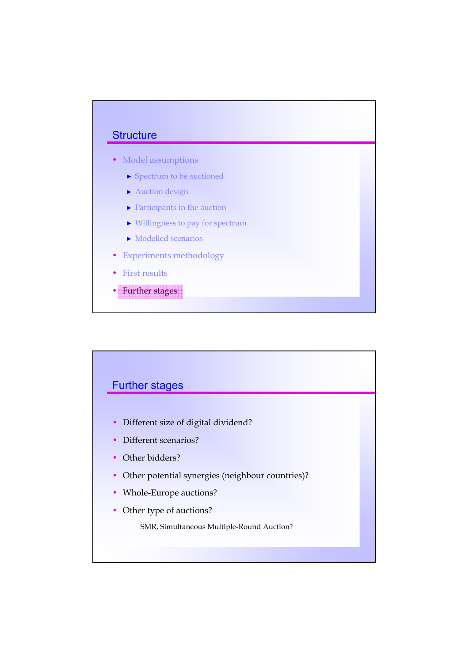